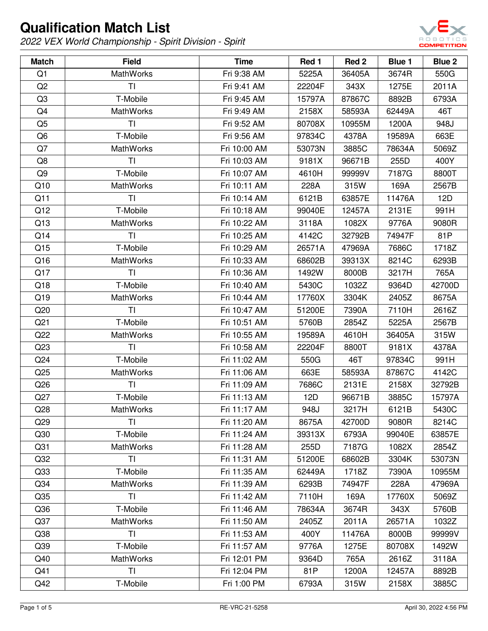

| <b>Match</b>    | <b>Field</b>     | <b>Time</b>  | Red 1  | Red 2  | Blue 1 | Blue 2 |
|-----------------|------------------|--------------|--------|--------|--------|--------|
| Q1              | <b>MathWorks</b> | Fri 9:38 AM  | 5225A  | 36405A | 3674R  | 550G   |
| Q <sub>2</sub>  | <b>TI</b>        | Fri 9:41 AM  | 22204F | 343X   | 1275E  | 2011A  |
| Q3              | T-Mobile         | Fri 9:45 AM  | 15797A | 87867C | 8892B  | 6793A  |
| Q4              | <b>MathWorks</b> | Fri 9:49 AM  | 2158X  | 58593A | 62449A | 46T    |
| Q <sub>5</sub>  | TI               | Fri 9:52 AM  | 80708X | 10955M | 1200A  | 948J   |
| Q6              | T-Mobile         | Fri 9:56 AM  | 97834C | 4378A  | 19589A | 663E   |
| Q7              | MathWorks        | Fri 10:00 AM | 53073N | 3885C  | 78634A | 5069Z  |
| Q8              | T <sub>l</sub>   | Fri 10:03 AM | 9181X  | 96671B | 255D   | 400Y   |
| Q9              | T-Mobile         | Fri 10:07 AM | 4610H  | 99999V | 7187G  | 8800T  |
| Q10             | MathWorks        | Fri 10:11 AM | 228A   | 315W   | 169A   | 2567B  |
| Q11             | <b>TI</b>        | Fri 10:14 AM | 6121B  | 63857E | 11476A | 12D    |
| Q12             | T-Mobile         | Fri 10:18 AM | 99040E | 12457A | 2131E  | 991H   |
| Q13             | <b>MathWorks</b> | Fri 10:22 AM | 3118A  | 1082X  | 9776A  | 9080R  |
| Q14             | T <sub>l</sub>   | Fri 10:25 AM | 4142C  | 32792B | 74947F | 81P    |
| Q15             | T-Mobile         | Fri 10:29 AM | 26571A | 47969A | 7686C  | 1718Z  |
| Q16             | <b>MathWorks</b> | Fri 10:33 AM | 68602B | 39313X | 8214C  | 6293B  |
| Q17             | <b>TI</b>        | Fri 10:36 AM | 1492W  | 8000B  | 3217H  | 765A   |
| Q18             | T-Mobile         | Fri 10:40 AM | 5430C  | 1032Z  | 9364D  | 42700D |
| Q19             | <b>MathWorks</b> | Fri 10:44 AM | 17760X | 3304K  | 2405Z  | 8675A  |
| Q20             | T <sub>l</sub>   | Fri 10:47 AM | 51200E | 7390A  | 7110H  | 2616Z  |
| Q <sub>21</sub> | T-Mobile         | Fri 10:51 AM | 5760B  | 2854Z  | 5225A  | 2567B  |
| Q22             | <b>MathWorks</b> | Fri 10:55 AM | 19589A | 4610H  | 36405A | 315W   |
| Q23             | <b>TI</b>        | Fri 10:58 AM | 22204F | 8800T  | 9181X  | 4378A  |
| Q <sub>24</sub> | T-Mobile         | Fri 11:02 AM | 550G   | 46T    | 97834C | 991H   |
| Q25             | <b>MathWorks</b> | Fri 11:06 AM | 663E   | 58593A | 87867C | 4142C  |
| Q26             | <b>TI</b>        | Fri 11:09 AM | 7686C  | 2131E  | 2158X  | 32792B |
| Q27             | T-Mobile         | Fri 11:13 AM | 12D    | 96671B | 3885C  | 15797A |
| Q28             | MathWorks        | Fri 11:17 AM | 948J   | 3217H  | 6121B  | 5430C  |
| Q29             | ΤL               | Fri 11:20 AM | 8675A  | 42700D | 9080R  | 8214C  |
| Q <sub>30</sub> | T-Mobile         | Fri 11:24 AM | 39313X | 6793A  | 99040E | 63857E |
| Q <sub>31</sub> | <b>MathWorks</b> | Fri 11:28 AM | 255D   | 7187G  | 1082X  | 2854Z  |
| Q <sub>32</sub> | <b>TI</b>        | Fri 11:31 AM | 51200E | 68602B | 3304K  | 53073N |
| Q <sub>33</sub> | T-Mobile         | Fri 11:35 AM | 62449A | 1718Z  | 7390A  | 10955M |
| Q <sub>34</sub> | <b>MathWorks</b> | Fri 11:39 AM | 6293B  | 74947F | 228A   | 47969A |
| Q <sub>35</sub> | <b>TI</b>        | Fri 11:42 AM | 7110H  | 169A   | 17760X | 5069Z  |
| Q36             | T-Mobile         | Fri 11:46 AM | 78634A | 3674R  | 343X   | 5760B  |
| Q <sub>37</sub> | <b>MathWorks</b> | Fri 11:50 AM | 2405Z  | 2011A  | 26571A | 1032Z  |
| Q <sub>38</sub> | <b>TI</b>        | Fri 11:53 AM | 400Y   | 11476A | 8000B  | 99999V |
| Q <sub>39</sub> | T-Mobile         | Fri 11:57 AM | 9776A  | 1275E  | 80708X | 1492W  |
| Q40             | <b>MathWorks</b> | Fri 12:01 PM | 9364D  | 765A   | 2616Z  | 3118A  |
| Q41             | <b>TI</b>        | Fri 12:04 PM | 81P    | 1200A  | 12457A | 8892B  |
| Q42             | T-Mobile         | Fri 1:00 PM  | 6793A  | 315W   | 2158X  | 3885C  |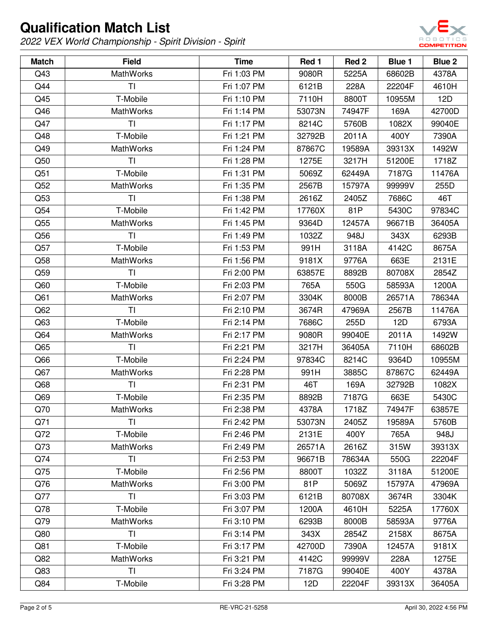

| <b>Match</b>    | <b>Field</b>     | <b>Time</b> | Red 1  | Red <sub>2</sub> | Blue 1 | Blue 2 |
|-----------------|------------------|-------------|--------|------------------|--------|--------|
| Q43             | <b>MathWorks</b> | Fri 1:03 PM | 9080R  | 5225A            | 68602B | 4378A  |
| Q44             | <b>TI</b>        | Fri 1:07 PM | 6121B  | 228A             | 22204F | 4610H  |
| Q45             | T-Mobile         | Fri 1:10 PM | 7110H  | 8800T            | 10955M | 12D    |
| Q46             | <b>MathWorks</b> | Fri 1:14 PM | 53073N | 74947F           | 169A   | 42700D |
| Q47             | TI               | Fri 1:17 PM | 8214C  | 5760B            | 1082X  | 99040E |
| Q48             | T-Mobile         | Fri 1:21 PM | 32792B | 2011A            | 400Y   | 7390A  |
| Q49             | <b>MathWorks</b> | Fri 1:24 PM | 87867C | 19589A           | 39313X | 1492W  |
| Q50             | <b>TI</b>        | Fri 1:28 PM | 1275E  | 3217H            | 51200E | 1718Z  |
| Q51             | T-Mobile         | Fri 1:31 PM | 5069Z  | 62449A           | 7187G  | 11476A |
| Q52             | MathWorks        | Fri 1:35 PM | 2567B  | 15797A           | 99999V | 255D   |
| Q53             | <b>TI</b>        | Fri 1:38 PM | 2616Z  | 2405Z            | 7686C  | 46T    |
| Q54             | T-Mobile         | Fri 1:42 PM | 17760X | 81P              | 5430C  | 97834C |
| Q55             | <b>MathWorks</b> | Fri 1:45 PM | 9364D  | 12457A           | 96671B | 36405A |
| Q56             | <b>TI</b>        | Fri 1:49 PM | 1032Z  | 948J             | 343X   | 6293B  |
| Q57             | T-Mobile         | Fri 1:53 PM | 991H   | 3118A            | 4142C  | 8675A  |
| Q58             | <b>MathWorks</b> | Fri 1:56 PM | 9181X  | 9776A            | 663E   | 2131E  |
| Q59             | T <sub>l</sub>   | Fri 2:00 PM | 63857E | 8892B            | 80708X | 2854Z  |
| Q60             | T-Mobile         | Fri 2:03 PM | 765A   | 550G             | 58593A | 1200A  |
| Q61             | <b>MathWorks</b> | Fri 2:07 PM | 3304K  | 8000B            | 26571A | 78634A |
| Q62             | <b>TI</b>        | Fri 2:10 PM | 3674R  | 47969A           | 2567B  | 11476A |
| Q63             | T-Mobile         | Fri 2:14 PM | 7686C  | 255D             | 12D    | 6793A  |
| Q64             | MathWorks        | Fri 2:17 PM | 9080R  | 99040E           | 2011A  | 1492W  |
| Q65             | <b>TI</b>        | Fri 2:21 PM | 3217H  | 36405A           | 7110H  | 68602B |
| Q66             | T-Mobile         | Fri 2:24 PM | 97834C | 8214C            | 9364D  | 10955M |
| Q67             | MathWorks        | Fri 2:28 PM | 991H   | 3885C            | 87867C | 62449A |
| Q <sub>68</sub> | <b>TI</b>        | Fri 2:31 PM | 46T    | 169A             | 32792B | 1082X  |
| Q69             | T-Mobile         | Fri 2:35 PM | 8892B  | 7187G            | 663E   | 5430C  |
| Q70             | MathWorks        | Fri 2:38 PM | 4378A  | 1718Z            | 74947F | 63857E |
| Q71             | TI.              | Fri 2:42 PM | 53073N | 2405Z            | 19589A | 5760B  |
| Q72             | T-Mobile         | Fri 2:46 PM | 2131E  | 400Y             | 765A   | 948J   |
| Q73             | <b>MathWorks</b> | Fri 2:49 PM | 26571A | 2616Z            | 315W   | 39313X |
| Q74             | <b>TI</b>        | Fri 2:53 PM | 96671B | 78634A           | 550G   | 22204F |
| Q75             | T-Mobile         | Fri 2:56 PM | 8800T  | 1032Z            | 3118A  | 51200E |
| Q76             | <b>MathWorks</b> | Fri 3:00 PM | 81P    | 5069Z            | 15797A | 47969A |
| Q77             | <b>TI</b>        | Fri 3:03 PM | 6121B  | 80708X           | 3674R  | 3304K  |
| Q78             | T-Mobile         | Fri 3:07 PM | 1200A  | 4610H            | 5225A  | 17760X |
| Q79             | MathWorks        | Fri 3:10 PM | 6293B  | 8000B            | 58593A | 9776A  |
| Q80             | <b>TI</b>        | Fri 3:14 PM | 343X   | 2854Z            | 2158X  | 8675A  |
| Q81             | T-Mobile         | Fri 3:17 PM | 42700D | 7390A            | 12457A | 9181X  |
| Q82             | <b>MathWorks</b> | Fri 3:21 PM | 4142C  | 99999V           | 228A   | 1275E  |
| Q83             | <b>TI</b>        | Fri 3:24 PM | 7187G  | 99040E           | 400Y   | 4378A  |
| Q84             | T-Mobile         | Fri 3:28 PM | 12D    | 22204F           | 39313X | 36405A |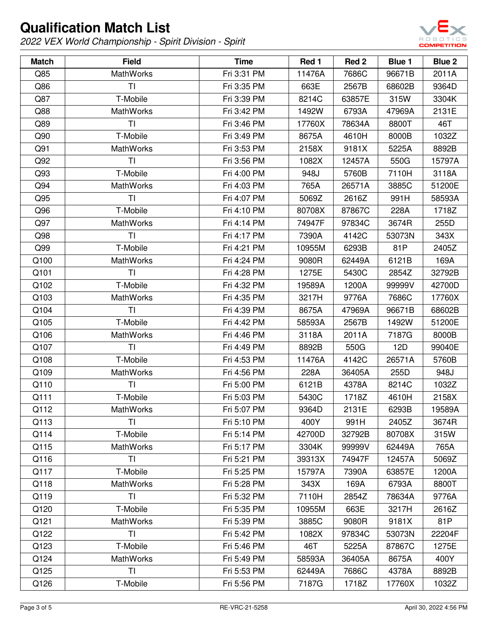

| <b>Match</b> | <b>Field</b>     | <b>Time</b> | Red 1  | Red 2  | Blue 1 | Blue 2 |
|--------------|------------------|-------------|--------|--------|--------|--------|
| Q85          | <b>MathWorks</b> | Fri 3:31 PM | 11476A | 7686C  | 96671B | 2011A  |
| Q86          | TI               | Fri 3:35 PM | 663E   | 2567B  | 68602B | 9364D  |
| Q87          | T-Mobile         | Fri 3:39 PM | 8214C  | 63857E | 315W   | 3304K  |
| Q88          | <b>MathWorks</b> | Fri 3:42 PM | 1492W  | 6793A  | 47969A | 2131E  |
| Q89          | T <sub>l</sub>   | Fri 3:46 PM | 17760X | 78634A | 8800T  | 46T    |
| Q90          | T-Mobile         | Fri 3:49 PM | 8675A  | 4610H  | 8000B  | 1032Z  |
| Q91          | <b>MathWorks</b> | Fri 3:53 PM | 2158X  | 9181X  | 5225A  | 8892B  |
| Q92          | <b>TI</b>        | Fri 3:56 PM | 1082X  | 12457A | 550G   | 15797A |
| Q93          | T-Mobile         | Fri 4:00 PM | 948J   | 5760B  | 7110H  | 3118A  |
| Q94          | <b>MathWorks</b> | Fri 4:03 PM | 765A   | 26571A | 3885C  | 51200E |
| Q95          | <b>TI</b>        | Fri 4:07 PM | 5069Z  | 2616Z  | 991H   | 58593A |
| Q96          | T-Mobile         | Fri 4:10 PM | 80708X | 87867C | 228A   | 1718Z  |
| Q97          | <b>MathWorks</b> | Fri 4:14 PM | 74947F | 97834C | 3674R  | 255D   |
| Q98          | TI               | Fri 4:17 PM | 7390A  | 4142C  | 53073N | 343X   |
| Q99          | T-Mobile         | Fri 4:21 PM | 10955M | 6293B  | 81P    | 2405Z  |
| Q100         | <b>MathWorks</b> | Fri 4:24 PM | 9080R  | 62449A | 6121B  | 169A   |
| Q101         | <b>TI</b>        | Fri 4:28 PM | 1275E  | 5430C  | 2854Z  | 32792B |
| Q102         | T-Mobile         | Fri 4:32 PM | 19589A | 1200A  | 99999V | 42700D |
| Q103         | <b>MathWorks</b> | Fri 4:35 PM | 3217H  | 9776A  | 7686C  | 17760X |
| Q104         | T <sub>l</sub>   | Fri 4:39 PM | 8675A  | 47969A | 96671B | 68602B |
| Q105         | T-Mobile         | Fri 4:42 PM | 58593A | 2567B  | 1492W  | 51200E |
| Q106         | <b>MathWorks</b> | Fri 4:46 PM | 3118A  | 2011A  | 7187G  | 8000B  |
| Q107         | <b>TI</b>        | Fri 4:49 PM | 8892B  | 550G   | 12D    | 99040E |
| Q108         | T-Mobile         | Fri 4:53 PM | 11476A | 4142C  | 26571A | 5760B  |
| Q109         | <b>MathWorks</b> | Fri 4:56 PM | 228A   | 36405A | 255D   | 948J   |
| Q110         | T <sub>l</sub>   | Fri 5:00 PM | 6121B  | 4378A  | 8214C  | 1032Z  |
| Q111         | T-Mobile         | Fri 5:03 PM | 5430C  | 1718Z  | 4610H  | 2158X  |
| Q112         | <b>MathWorks</b> | Fri 5:07 PM | 9364D  | 2131E  | 6293B  | 19589A |
| Q113         | ΤI               | Fri 5:10 PM | 400Y   | 991H   | 2405Z  | 3674R  |
| Q114         | T-Mobile         | Fri 5:14 PM | 42700D | 32792B | 80708X | 315W   |
| Q115         | <b>MathWorks</b> | Fri 5:17 PM | 3304K  | 99999V | 62449A | 765A   |
| Q116         | <b>TI</b>        | Fri 5:21 PM | 39313X | 74947F | 12457A | 5069Z  |
| Q117         | T-Mobile         | Fri 5:25 PM | 15797A | 7390A  | 63857E | 1200A  |
| Q118         | MathWorks        | Fri 5:28 PM | 343X   | 169A   | 6793A  | 8800T  |
| Q119         | <b>TI</b>        | Fri 5:32 PM | 7110H  | 2854Z  | 78634A | 9776A  |
| Q120         | T-Mobile         | Fri 5:35 PM | 10955M | 663E   | 3217H  | 2616Z  |
| Q121         | <b>MathWorks</b> | Fri 5:39 PM | 3885C  | 9080R  | 9181X  | 81P    |
| Q122         | <b>TI</b>        | Fri 5:42 PM | 1082X  | 97834C | 53073N | 22204F |
| Q123         | T-Mobile         | Fri 5:46 PM | 46T    | 5225A  | 87867C | 1275E  |
| Q124         | <b>MathWorks</b> | Fri 5:49 PM | 58593A | 36405A | 8675A  | 400Y   |
| Q125         | ΤI               | Fri 5:53 PM | 62449A | 7686C  | 4378A  | 8892B  |
| Q126         | T-Mobile         | Fri 5:56 PM | 7187G  | 1718Z  | 17760X | 1032Z  |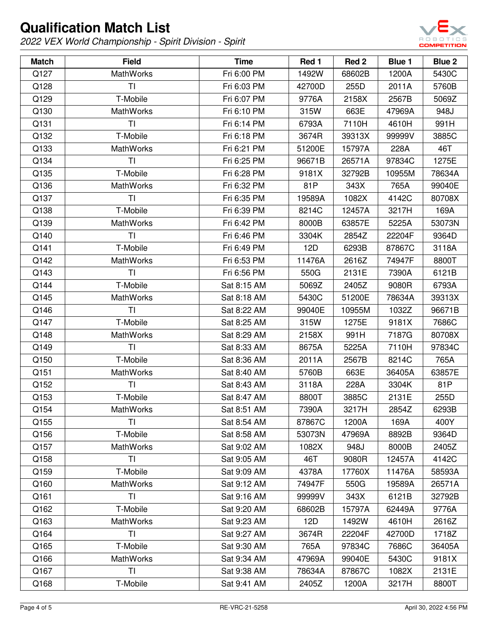

| <b>Match</b> | <b>Field</b>     | <b>Time</b> | Red 1  | Red 2  | Blue 1 | <b>Blue 2</b> |
|--------------|------------------|-------------|--------|--------|--------|---------------|
| Q127         | <b>MathWorks</b> | Fri 6:00 PM | 1492W  | 68602B | 1200A  | 5430C         |
| Q128         | TI               | Fri 6:03 PM | 42700D | 255D   | 2011A  | 5760B         |
| Q129         | T-Mobile         | Fri 6:07 PM | 9776A  | 2158X  | 2567B  | 5069Z         |
| Q130         | <b>MathWorks</b> | Fri 6:10 PM | 315W   | 663E   | 47969A | 948J          |
| Q131         | TI               | Fri 6:14 PM | 6793A  | 7110H  | 4610H  | 991H          |
| Q132         | T-Mobile         | Fri 6:18 PM | 3674R  | 39313X | 99999V | 3885C         |
| Q133         | <b>MathWorks</b> | Fri 6:21 PM | 51200E | 15797A | 228A   | 46T           |
| Q134         | TI               | Fri 6:25 PM | 96671B | 26571A | 97834C | 1275E         |
| Q135         | T-Mobile         | Fri 6:28 PM | 9181X  | 32792B | 10955M | 78634A        |
| Q136         | <b>MathWorks</b> | Fri 6:32 PM | 81P    | 343X   | 765A   | 99040E        |
| Q137         | TI               | Fri 6:35 PM | 19589A | 1082X  | 4142C  | 80708X        |
| Q138         | T-Mobile         | Fri 6:39 PM | 8214C  | 12457A | 3217H  | 169A          |
| Q139         | <b>MathWorks</b> | Fri 6:42 PM | 8000B  | 63857E | 5225A  | 53073N        |
| Q140         | TI               | Fri 6:46 PM | 3304K  | 2854Z  | 22204F | 9364D         |
| Q141         | T-Mobile         | Fri 6:49 PM | 12D    | 6293B  | 87867C | 3118A         |
| Q142         | <b>MathWorks</b> | Fri 6:53 PM | 11476A | 2616Z  | 74947F | 8800T         |
| Q143         | TI               | Fri 6:56 PM | 550G   | 2131E  | 7390A  | 6121B         |
| Q144         | T-Mobile         | Sat 8:15 AM | 5069Z  | 2405Z  | 9080R  | 6793A         |
| Q145         | <b>MathWorks</b> | Sat 8:18 AM | 5430C  | 51200E | 78634A | 39313X        |
| Q146         | TI               | Sat 8:22 AM | 99040E | 10955M | 1032Z  | 96671B        |
| Q147         | T-Mobile         | Sat 8:25 AM | 315W   | 1275E  | 9181X  | 7686C         |
| Q148         | <b>MathWorks</b> | Sat 8:29 AM | 2158X  | 991H   | 7187G  | 80708X        |
| Q149         | <b>TI</b>        | Sat 8:33 AM | 8675A  | 5225A  | 7110H  | 97834C        |
| Q150         | T-Mobile         | Sat 8:36 AM | 2011A  | 2567B  | 8214C  | 765A          |
| Q151         | <b>MathWorks</b> | Sat 8:40 AM | 5760B  | 663E   | 36405A | 63857E        |
| Q152         | TI               | Sat 8:43 AM | 3118A  | 228A   | 3304K  | 81P           |
| Q153         | T-Mobile         | Sat 8:47 AM | 8800T  | 3885C  | 2131E  | 255D          |
| Q154         | <b>MathWorks</b> | Sat 8:51 AM | 7390A  | 3217H  | 2854Z  | 6293B         |
| Q155         | ΤI               | Sat 8:54 AM | 87867C | 1200A  | 169A   | 400Y          |
| Q156         | T-Mobile         | Sat 8:58 AM | 53073N | 47969A | 8892B  | 9364D         |
| Q157         | <b>MathWorks</b> | Sat 9:02 AM | 1082X  | 948J   | 8000B  | 2405Z         |
| Q158         | <b>TI</b>        | Sat 9:05 AM | 46T    | 9080R  | 12457A | 4142C         |
| Q159         | T-Mobile         | Sat 9:09 AM | 4378A  | 17760X | 11476A | 58593A        |
| Q160         | <b>MathWorks</b> | Sat 9:12 AM | 74947F | 550G   | 19589A | 26571A        |
| Q161         | <b>TI</b>        | Sat 9:16 AM | 99999V | 343X   | 6121B  | 32792B        |
| Q162         | T-Mobile         | Sat 9:20 AM | 68602B | 15797A | 62449A | 9776A         |
| Q163         | <b>MathWorks</b> | Sat 9:23 AM | 12D    | 1492W  | 4610H  | 2616Z         |
| Q164         | <b>TI</b>        | Sat 9:27 AM | 3674R  | 22204F | 42700D | 1718Z         |
| Q165         | T-Mobile         | Sat 9:30 AM | 765A   | 97834C | 7686C  | 36405A        |
| Q166         | <b>MathWorks</b> | Sat 9:34 AM | 47969A | 99040E | 5430C  | 9181X         |
| Q167         | TI               | Sat 9:38 AM | 78634A | 87867C | 1082X  | 2131E         |
| Q168         | T-Mobile         | Sat 9:41 AM | 2405Z  | 1200A  | 3217H  | 8800T         |